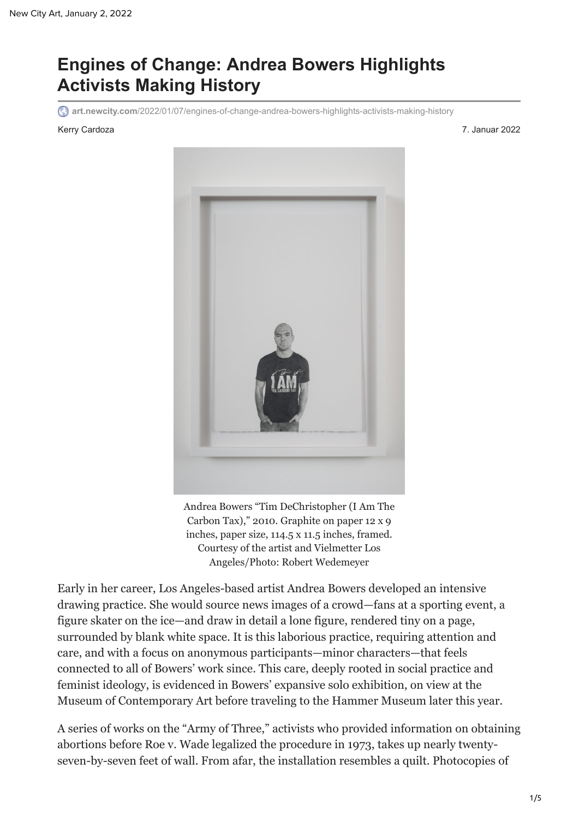## **Engines of Change: Andrea Bowers Highlights Activists Making History**

**art.newcity.com**[/2022/01/07/engines-of-change-andrea-bowers-highlights-activists-making-history](https://art.newcity.com/2022/01/07/engines-of-change-andrea-bowers-highlights-activists-making-history/)

Kerry Cardoza 7. Januar 2022



Andrea Bowers "Tim DeChristopher (I Am The Carbon Tax)," 2010. Graphite on paper 12 x 9 inches, paper size, 114.5 x 11.5 inches, framed. Courtesy of the artist and Vielmetter Los Angeles/Photo: Robert Wedemeyer

Early in her career, Los Angeles-based artist Andrea Bowers developed an intensive drawing practice. She would source news images of a crowd—fans at a sporting event, a figure skater on the ice—and draw in detail a lone figure, rendered tiny on a page, surrounded by blank white space. It is this laborious practice, requiring attention and care, and with a focus on anonymous participants—minor characters—that feels connected to all of Bowers' work since. This care, deeply rooted in social practice and feminist ideology, is evidenced in Bowers' expansive solo exhibition, on view at the Museum of Contemporary Art before traveling to the Hammer Museum later this year.

A series of works on the "Army of Three," activists who provided information on obtaining abortions before Roe v. Wade legalized the procedure in 1973, takes up nearly twentyseven-by-seven feet of wall. From afar, the installation resembles a quilt. Photocopies of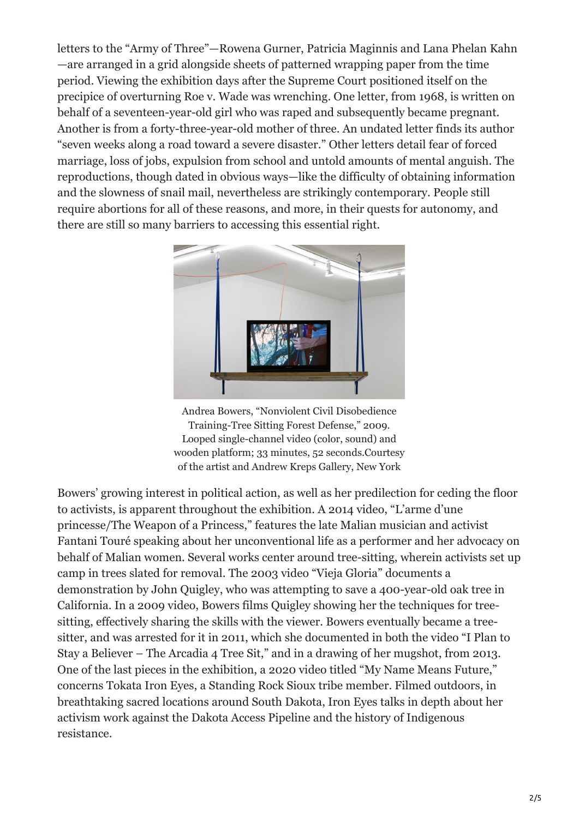letters to the "Army of Three"—Rowena Gurner, Patricia Maginnis and Lana Phelan Kahn —are arranged in a grid alongside sheets of patterned wrapping paper from the time period. Viewing the exhibition days after the Supreme Court positioned itself on the precipice of overturning Roe v. Wade was wrenching. One letter, from 1968, is written on behalf of a seventeen-year-old girl who was raped and subsequently became pregnant. Another is from a forty-three-year-old mother of three. An undated letter finds its author "seven weeks along a road toward a severe disaster." Other letters detail fear of forced marriage, loss of jobs, expulsion from school and untold amounts of mental anguish. The reproductions, though dated in obvious ways—like the difficulty of obtaining information and the slowness of snail mail, nevertheless are strikingly contemporary. People still require abortions for all of these reasons, and more, in their quests for autonomy, and there are still so many barriers to accessing this essential right.



Andrea Bowers, "Nonviolent Civil Disobedience Training-Tree Sitting Forest Defense," 2009. Looped single-channel video (color, sound) and wooden platform; 33 minutes, 52 seconds.Courtesy of the artist and Andrew Kreps Gallery, New York

Bowers' growing interest in political action, as well as her predilection for ceding the floor to activists, is apparent throughout the exhibition. A 2014 video, "L'arme d'une princesse/The Weapon of a Princess," features the late Malian musician and activist Fantani Touré speaking about her unconventional life as a performer and her advocacy on behalf of Malian women. Several works center around tree-sitting, wherein activists set up camp in trees slated for removal. The 2003 video "Vieja Gloria" documents a demonstration by John Quigley, who was attempting to save a 400-year-old oak tree in California. In a 2009 video, Bowers films Quigley showing her the techniques for treesitting, effectively sharing the skills with the viewer. Bowers eventually became a treesitter, and was arrested for it in 2011, which she documented in both the video "I Plan to Stay a Believer – The Arcadia 4 Tree Sit," and in a drawing of her mugshot, from 2013. One of the last pieces in the exhibition, a 2020 video titled "My Name Means Future," concerns Tokata Iron Eyes, a Standing Rock Sioux tribe member. Filmed outdoors, in breathtaking sacred locations around South Dakota, Iron Eyes talks in depth about her activism work against the Dakota Access Pipeline and the history of Indigenous resistance.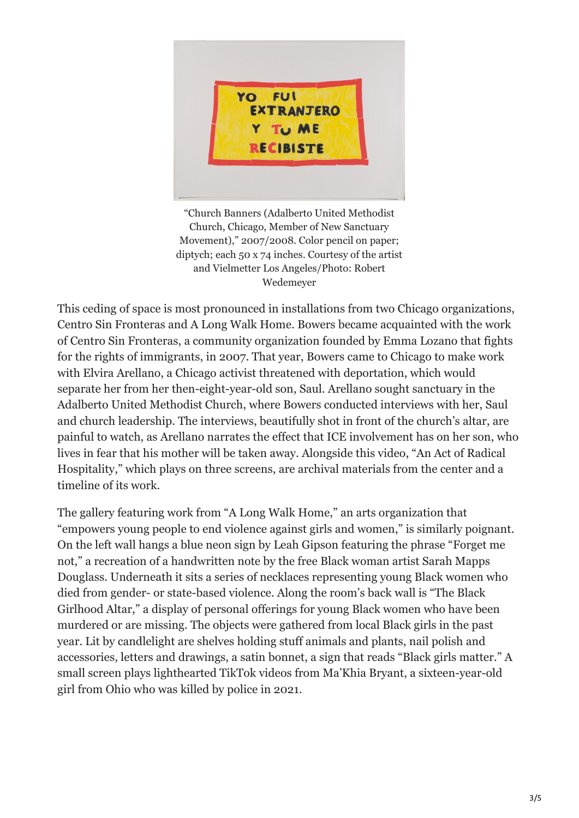

"Church Banners (Adalberto United Methodist Church, Chicago, Member of New Sanctuary Movement)," 2007/2008. Color pencil on paper; diptych; each 50 x 74 inches. Courtesy of the artist and Vielmetter Los Angeles/Photo: Robert Wedemeyer

This ceding of space is most pronounced in installations from two Chicago organizations, Centro Sin Fronteras and A Long Walk Home. Bowers became acquainted with the work of Centro Sin Fronteras, a community organization founded by Emma Lozano that fights for the rights of immigrants, in 2007. That year, Bowers came to Chicago to make work with Elvira Arellano, a Chicago activist threatened with deportation, which would separate her from her then-eight-year-old son, Saul. Arellano sought sanctuary in the Adalberto United Methodist Church, where Bowers conducted interviews with her, Saul and church leadership. The interviews, beautifully shot in front of the church's altar, are painful to watch, as Arellano narrates the effect that ICE involvement has on her son, who lives in fear that his mother will be taken away. Alongside this video, "An Act of Radical Hospitality," which plays on three screens, are archival materials from the center and a timeline of its work.

The gallery featuring work from "A Long Walk Home," an arts organization that "empowers young people to end violence against girls and women," is similarly poignant. On the left wall hangs a blue neon sign by Leah Gipson featuring the phrase "Forget me not," a recreation of a handwritten note by the free Black woman artist Sarah Mapps Douglass. Underneath it sits a series of necklaces representing young Black women who died from gender- or state-based violence. Along the room's back wall is "The Black Girlhood Altar," a display of personal offerings for young Black women who have been murdered or are missing. The objects were gathered from local Black girls in the past year. Lit by candlelight are shelves holding stuff animals and plants, nail polish and accessories, letters and drawings, a satin bonnet, a sign that reads "Black girls matter." A small screen plays lighthearted TikTok videos from Ma'Khia Bryant, a sixteen-year-old girl from Ohio who was killed by police in 2021.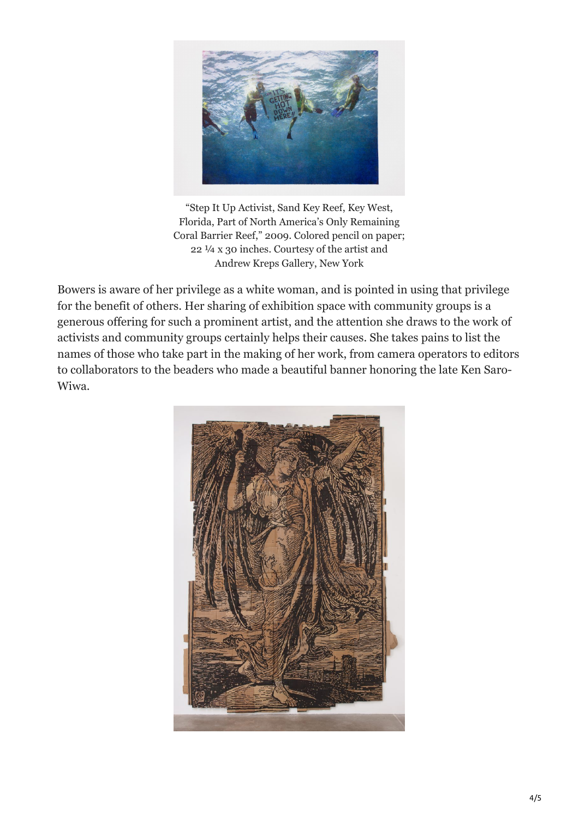

"Step It Up Activist, Sand Key Reef, Key West, Florida, Part of North America's Only Remaining Coral Barrier Reef," 2009. Colored pencil on paper; 22 ¼ x 30 inches. Courtesy of the artist and Andrew Kreps Gallery, New York

Bowers is aware of her privilege as a white woman, and is pointed in using that privilege for the benefit of others. Her sharing of exhibition space with community groups is a generous offering for such a prominent artist, and the attention she draws to the work of activists and community groups certainly helps their causes. She takes pains to list the names of those who take part in the making of her work, from camera operators to editors to collaborators to the beaders who made a beautiful banner honoring the late Ken Saro-Wiwa.